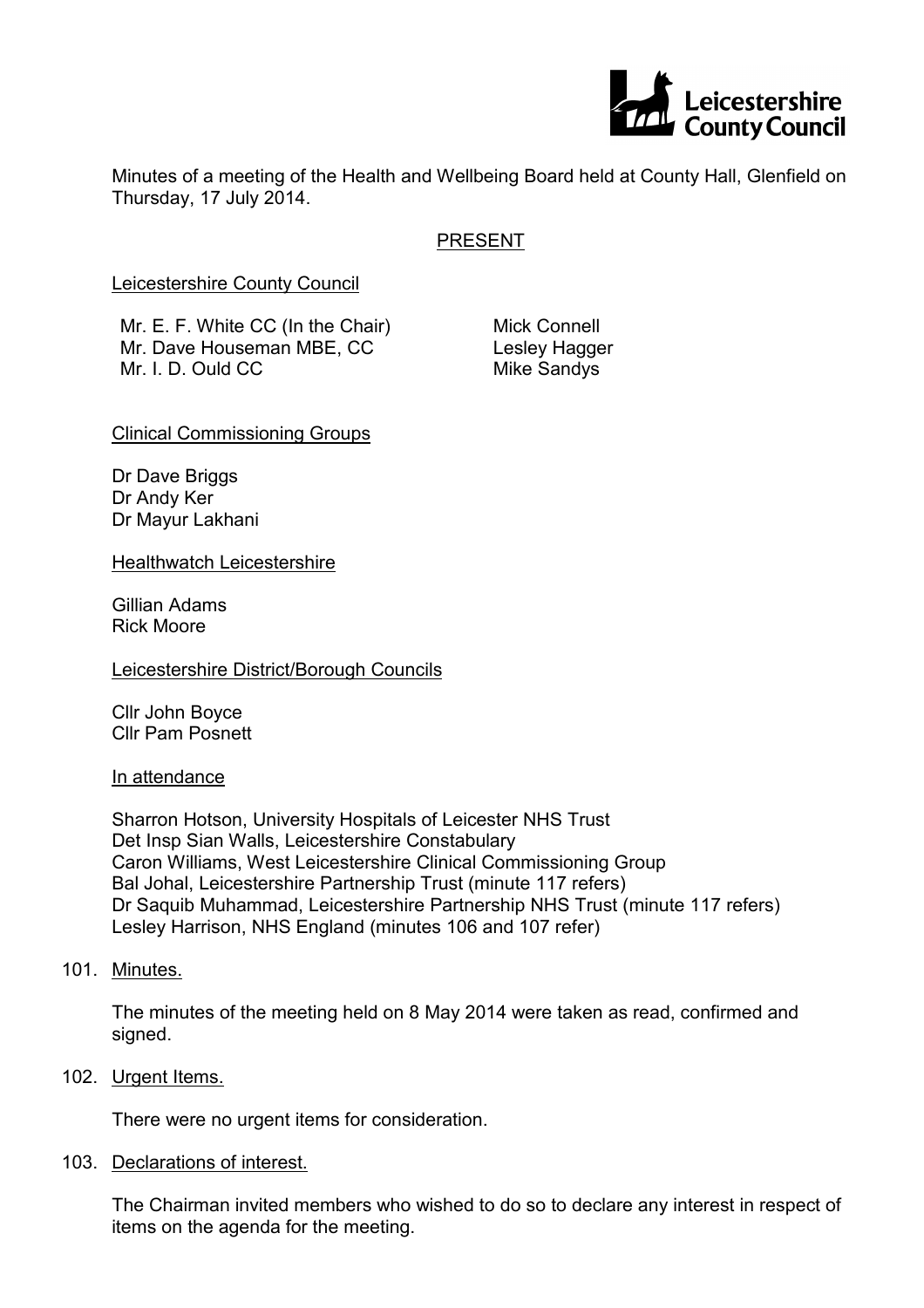

Minutes of a meeting of the Health and Wellbeing Board held at County Hall, Glenfield on Thursday, 17 July 2014.

# PRESENT

Leicestershire County Council

Mr. E. F. White CC (In the Chair) Mr. Dave Houseman MBE, CC Mr. I. D. Ould CC

Mick Connell Lesley Hagger Mike Sandys

Clinical Commissioning Groups

Dr Dave Briggs Dr Andy Ker Dr Mayur Lakhani

Healthwatch Leicestershire

Gillian Adams Rick Moore

Leicestershire District/Borough Councils

Cllr John Boyce Cllr Pam Posnett

## In attendance

Sharron Hotson, University Hospitals of Leicester NHS Trust Det Insp Sian Walls, Leicestershire Constabulary Caron Williams, West Leicestershire Clinical Commissioning Group Bal Johal, Leicestershire Partnership Trust (minute 117 refers) Dr Saquib Muhammad, Leicestershire Partnership NHS Trust (minute 117 refers) Lesley Harrison, NHS England (minutes 106 and 107 refer)

101. Minutes.

The minutes of the meeting held on 8 May 2014 were taken as read, confirmed and signed.

102. Urgent Items.

There were no urgent items for consideration.

## 103. Declarations of interest.

The Chairman invited members who wished to do so to declare any interest in respect of items on the agenda for the meeting.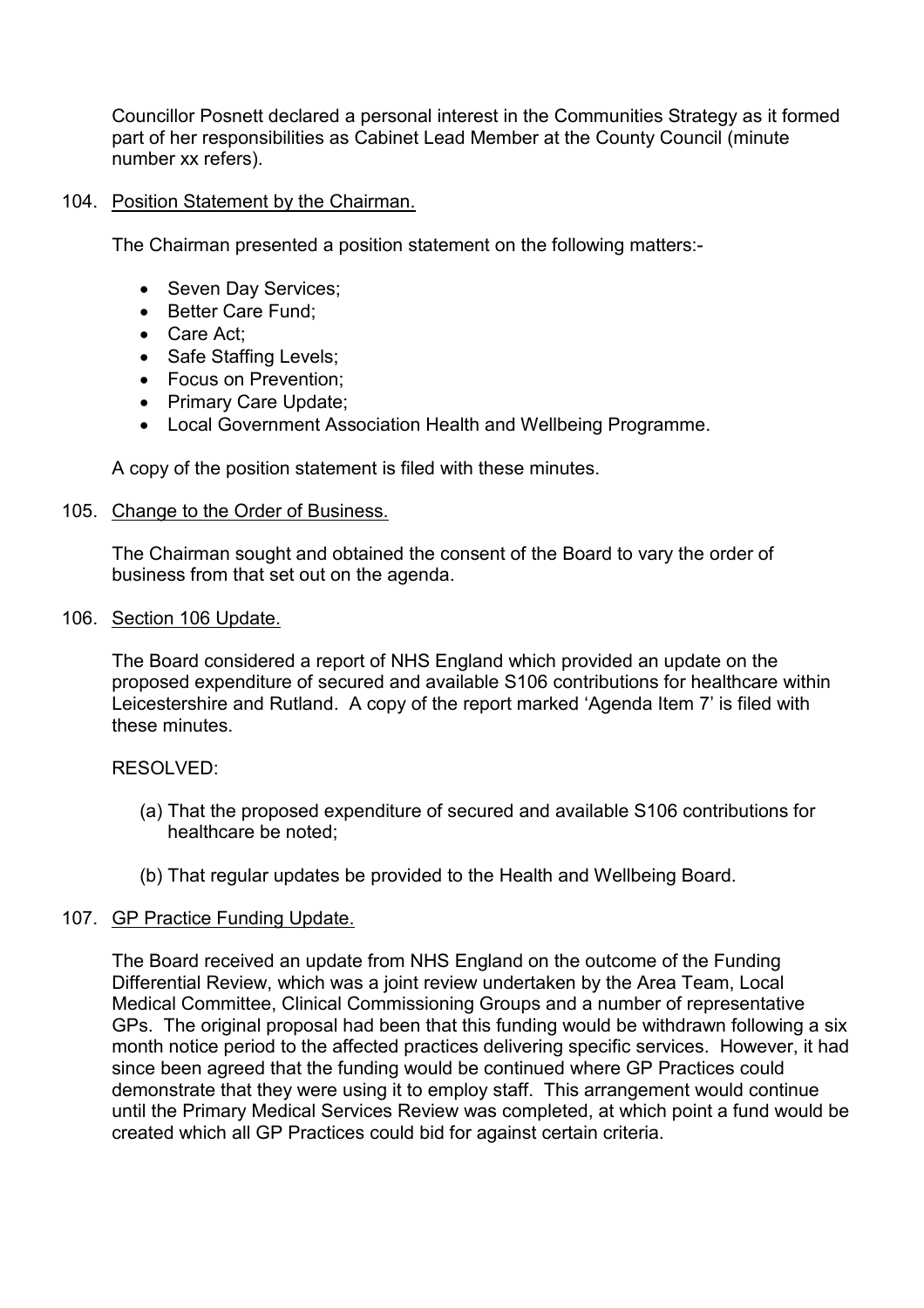Councillor Posnett declared a personal interest in the Communities Strategy as it formed part of her responsibilities as Cabinet Lead Member at the County Council (minute number xx refers).

## 104. Position Statement by the Chairman.

The Chairman presented a position statement on the following matters:-

- Seven Day Services;
- Better Care Fund;
- Care Act;
- Safe Staffing Levels;
- Focus on Prevention;
- Primary Care Update;
- Local Government Association Health and Wellbeing Programme.

A copy of the position statement is filed with these minutes.

## 105. Change to the Order of Business.

The Chairman sought and obtained the consent of the Board to vary the order of business from that set out on the agenda.

## 106. Section 106 Update.

The Board considered a report of NHS England which provided an update on the proposed expenditure of secured and available S106 contributions for healthcare within Leicestershire and Rutland. A copy of the report marked 'Agenda Item 7' is filed with these minutes.

# RESOLVED:

- (a) That the proposed expenditure of secured and available S106 contributions for healthcare be noted;
- (b) That regular updates be provided to the Health and Wellbeing Board.

# 107. GP Practice Funding Update.

The Board received an update from NHS England on the outcome of the Funding Differential Review, which was a joint review undertaken by the Area Team, Local Medical Committee, Clinical Commissioning Groups and a number of representative GPs. The original proposal had been that this funding would be withdrawn following a six month notice period to the affected practices delivering specific services. However, it had since been agreed that the funding would be continued where GP Practices could demonstrate that they were using it to employ staff. This arrangement would continue until the Primary Medical Services Review was completed, at which point a fund would be created which all GP Practices could bid for against certain criteria.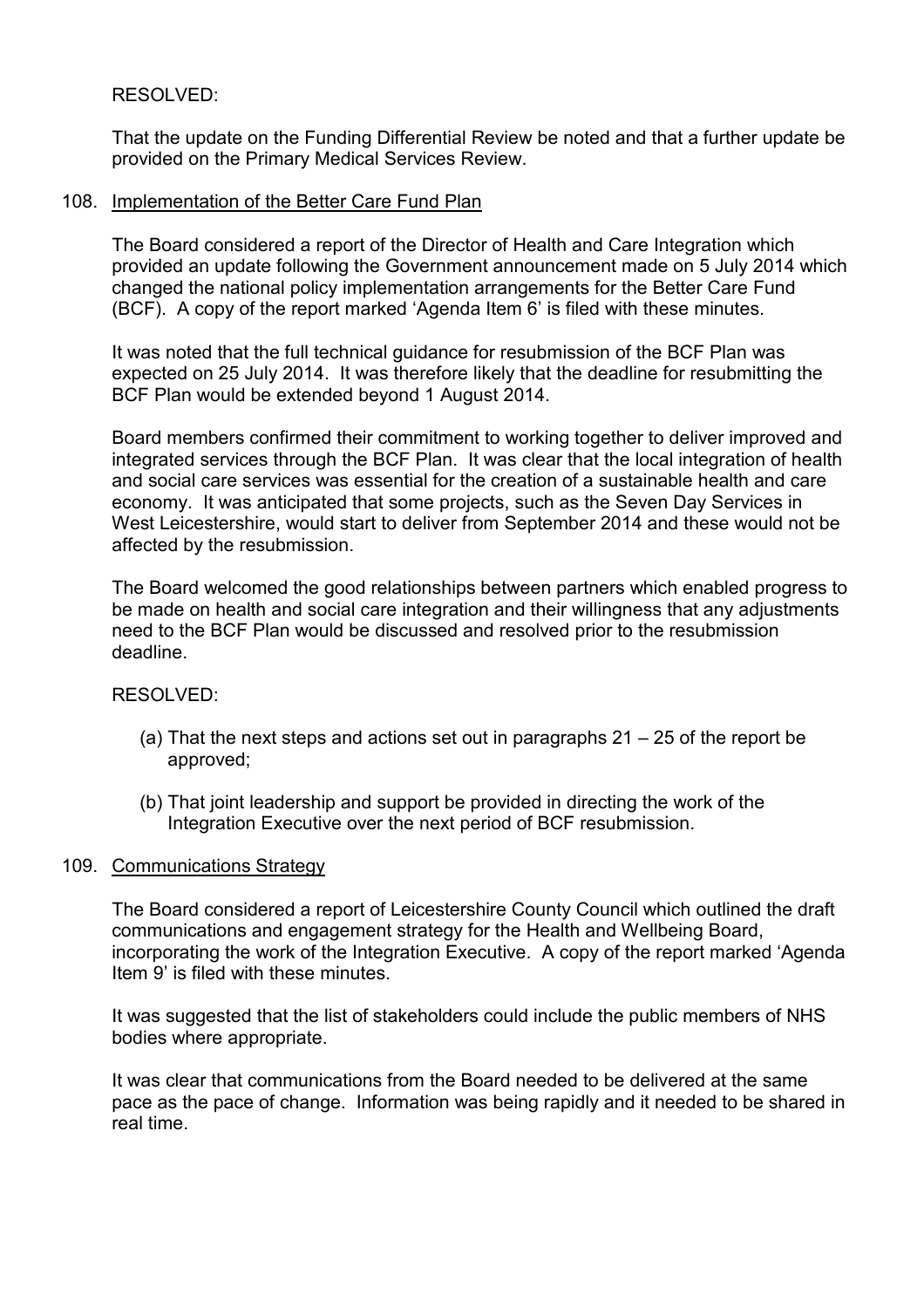# RESOLVED:

That the update on the Funding Differential Review be noted and that a further update be provided on the Primary Medical Services Review.

## 108. Implementation of the Better Care Fund Plan

The Board considered a report of the Director of Health and Care Integration which provided an update following the Government announcement made on 5 July 2014 which changed the national policy implementation arrangements for the Better Care Fund (BCF). A copy of the report marked 'Agenda Item 6' is filed with these minutes.

It was noted that the full technical guidance for resubmission of the BCF Plan was expected on 25 July 2014. It was therefore likely that the deadline for resubmitting the BCF Plan would be extended beyond 1 August 2014.

Board members confirmed their commitment to working together to deliver improved and integrated services through the BCF Plan. It was clear that the local integration of health and social care services was essential for the creation of a sustainable health and care economy. It was anticipated that some projects, such as the Seven Day Services in West Leicestershire, would start to deliver from September 2014 and these would not be affected by the resubmission.

The Board welcomed the good relationships between partners which enabled progress to be made on health and social care integration and their willingness that any adjustments need to the BCF Plan would be discussed and resolved prior to the resubmission deadline.

RESOLVED:

- (a) That the next steps and actions set out in paragraphs 21 25 of the report be approved;
- (b) That joint leadership and support be provided in directing the work of the Integration Executive over the next period of BCF resubmission.

## 109. Communications Strategy

The Board considered a report of Leicestershire County Council which outlined the draft communications and engagement strategy for the Health and Wellbeing Board, incorporating the work of the Integration Executive. A copy of the report marked 'Agenda Item 9' is filed with these minutes.

It was suggested that the list of stakeholders could include the public members of NHS bodies where appropriate.

It was clear that communications from the Board needed to be delivered at the same pace as the pace of change. Information was being rapidly and it needed to be shared in real time.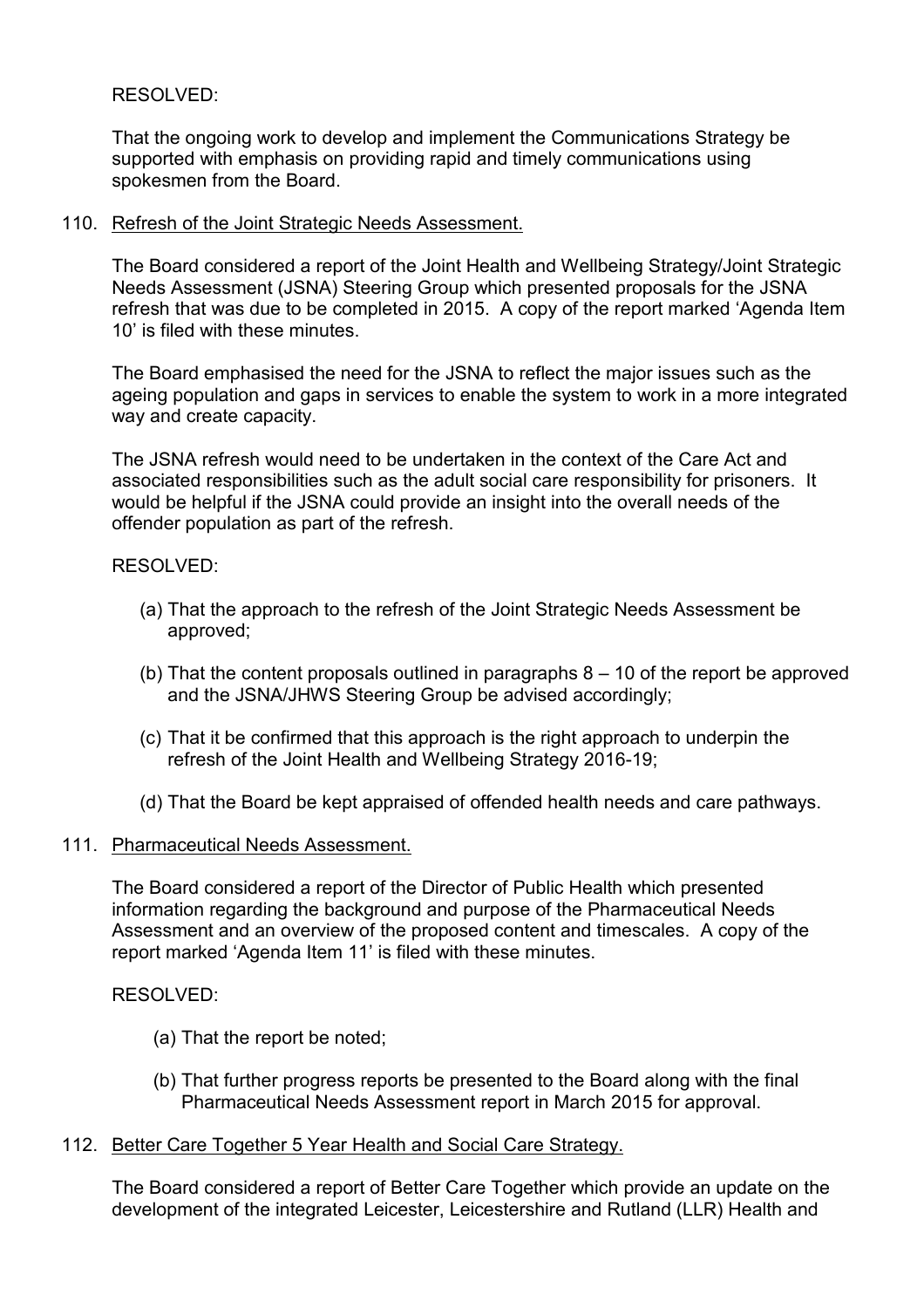# RESOLVED:

That the ongoing work to develop and implement the Communications Strategy be supported with emphasis on providing rapid and timely communications using spokesmen from the Board.

## 110. Refresh of the Joint Strategic Needs Assessment.

The Board considered a report of the Joint Health and Wellbeing Strategy/Joint Strategic Needs Assessment (JSNA) Steering Group which presented proposals for the JSNA refresh that was due to be completed in 2015. A copy of the report marked 'Agenda Item 10' is filed with these minutes.

The Board emphasised the need for the JSNA to reflect the major issues such as the ageing population and gaps in services to enable the system to work in a more integrated way and create capacity.

The JSNA refresh would need to be undertaken in the context of the Care Act and associated responsibilities such as the adult social care responsibility for prisoners. It would be helpful if the JSNA could provide an insight into the overall needs of the offender population as part of the refresh.

## RESOLVED:

- (a) That the approach to the refresh of the Joint Strategic Needs Assessment be approved;
- (b) That the content proposals outlined in paragraphs  $8 10$  of the report be approved and the JSNA/JHWS Steering Group be advised accordingly;
- (c) That it be confirmed that this approach is the right approach to underpin the refresh of the Joint Health and Wellbeing Strategy 2016-19;
- (d) That the Board be kept appraised of offended health needs and care pathways.

## 111. Pharmaceutical Needs Assessment.

The Board considered a report of the Director of Public Health which presented information regarding the background and purpose of the Pharmaceutical Needs Assessment and an overview of the proposed content and timescales. A copy of the report marked 'Agenda Item 11' is filed with these minutes.

# RESOLVED:

- (a) That the report be noted;
- (b) That further progress reports be presented to the Board along with the final Pharmaceutical Needs Assessment report in March 2015 for approval.

## 112. Better Care Together 5 Year Health and Social Care Strategy.

The Board considered a report of Better Care Together which provide an update on the development of the integrated Leicester, Leicestershire and Rutland (LLR) Health and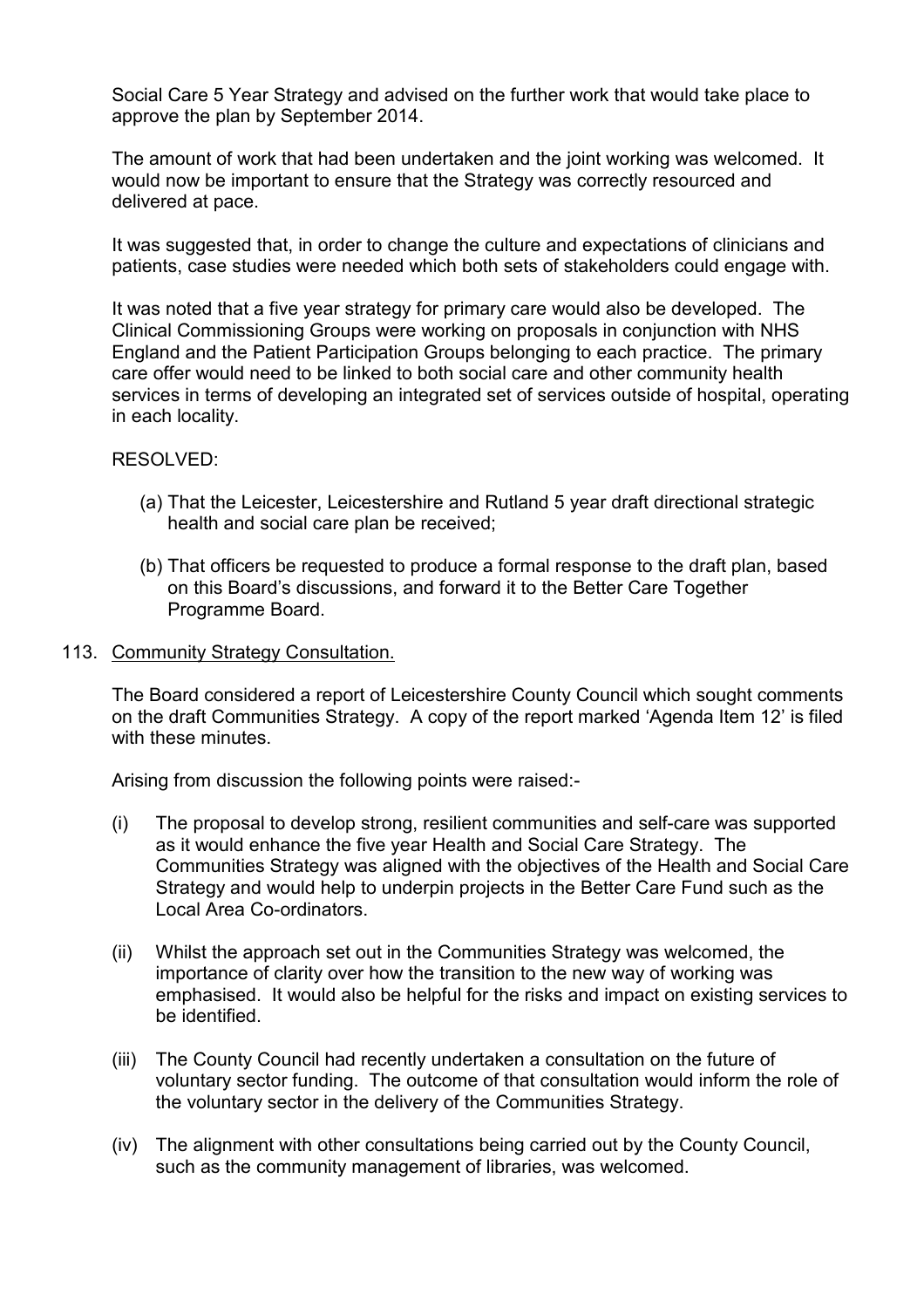Social Care 5 Year Strategy and advised on the further work that would take place to approve the plan by September 2014.

The amount of work that had been undertaken and the joint working was welcomed. It would now be important to ensure that the Strategy was correctly resourced and delivered at pace.

It was suggested that, in order to change the culture and expectations of clinicians and patients, case studies were needed which both sets of stakeholders could engage with.

It was noted that a five year strategy for primary care would also be developed. The Clinical Commissioning Groups were working on proposals in conjunction with NHS England and the Patient Participation Groups belonging to each practice. The primary care offer would need to be linked to both social care and other community health services in terms of developing an integrated set of services outside of hospital, operating in each locality.

## RESOLVED:

- (a) That the Leicester, Leicestershire and Rutland 5 year draft directional strategic health and social care plan be received;
- (b) That officers be requested to produce a formal response to the draft plan, based on this Board's discussions, and forward it to the Better Care Together Programme Board.
- 113. Community Strategy Consultation.

The Board considered a report of Leicestershire County Council which sought comments on the draft Communities Strategy. A copy of the report marked 'Agenda Item 12' is filed with these minutes.

Arising from discussion the following points were raised:-

- (i) The proposal to develop strong, resilient communities and self-care was supported as it would enhance the five year Health and Social Care Strategy. The Communities Strategy was aligned with the objectives of the Health and Social Care Strategy and would help to underpin projects in the Better Care Fund such as the Local Area Co-ordinators.
- (ii) Whilst the approach set out in the Communities Strategy was welcomed, the importance of clarity over how the transition to the new way of working was emphasised. It would also be helpful for the risks and impact on existing services to be identified.
- (iii) The County Council had recently undertaken a consultation on the future of voluntary sector funding. The outcome of that consultation would inform the role of the voluntary sector in the delivery of the Communities Strategy.
- (iv) The alignment with other consultations being carried out by the County Council, such as the community management of libraries, was welcomed.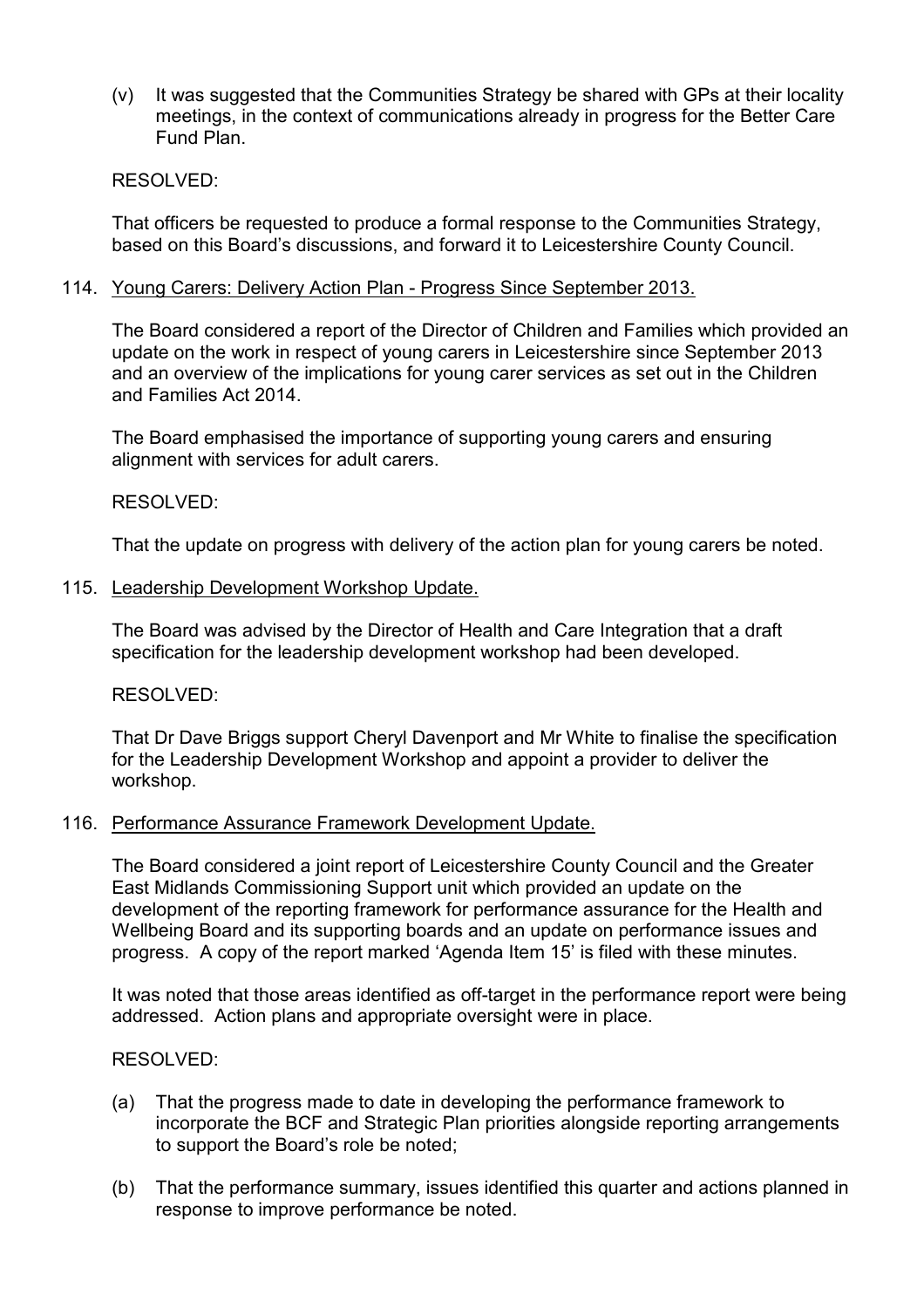(v) It was suggested that the Communities Strategy be shared with GPs at their locality meetings, in the context of communications already in progress for the Better Care Fund Plan.

## RESOLVED:

That officers be requested to produce a formal response to the Communities Strategy, based on this Board's discussions, and forward it to Leicestershire County Council.

#### 114. Young Carers: Delivery Action Plan - Progress Since September 2013.

The Board considered a report of the Director of Children and Families which provided an update on the work in respect of young carers in Leicestershire since September 2013 and an overview of the implications for young carer services as set out in the Children and Families Act 2014.

The Board emphasised the importance of supporting young carers and ensuring alignment with services for adult carers.

## RESOLVED:

That the update on progress with delivery of the action plan for young carers be noted.

## 115. Leadership Development Workshop Update.

The Board was advised by the Director of Health and Care Integration that a draft specification for the leadership development workshop had been developed.

## RESOLVED:

That Dr Dave Briggs support Cheryl Davenport and Mr White to finalise the specification for the Leadership Development Workshop and appoint a provider to deliver the workshop.

## 116. Performance Assurance Framework Development Update.

The Board considered a joint report of Leicestershire County Council and the Greater East Midlands Commissioning Support unit which provided an update on the development of the reporting framework for performance assurance for the Health and Wellbeing Board and its supporting boards and an update on performance issues and progress. A copy of the report marked 'Agenda Item 15' is filed with these minutes.

It was noted that those areas identified as off-target in the performance report were being addressed. Action plans and appropriate oversight were in place.

## RESOLVED:

- (a) That the progress made to date in developing the performance framework to incorporate the BCF and Strategic Plan priorities alongside reporting arrangements to support the Board's role be noted;
- (b) That the performance summary, issues identified this quarter and actions planned in response to improve performance be noted.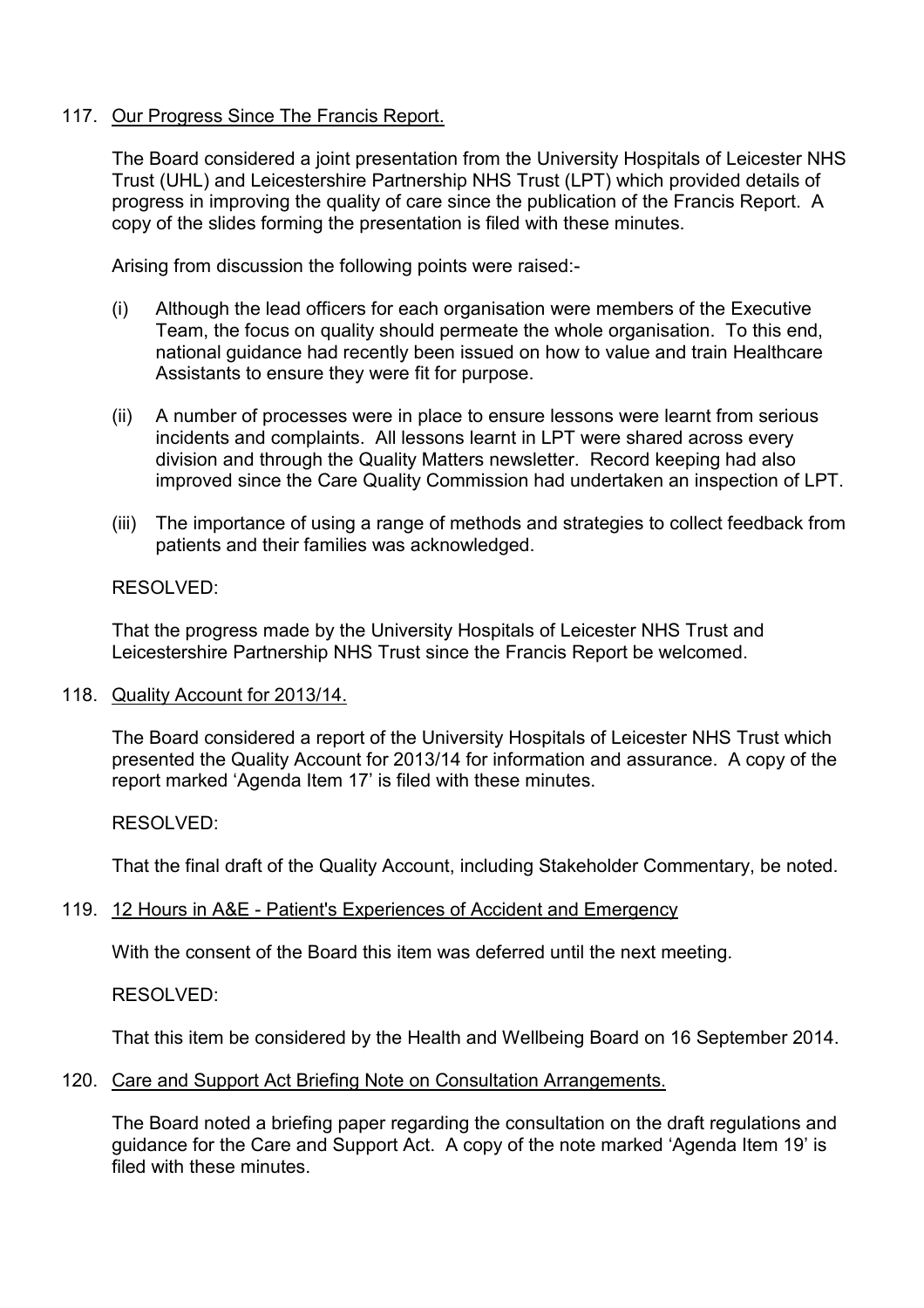# 117. Our Progress Since The Francis Report.

The Board considered a joint presentation from the University Hospitals of Leicester NHS Trust (UHL) and Leicestershire Partnership NHS Trust (LPT) which provided details of progress in improving the quality of care since the publication of the Francis Report. A copy of the slides forming the presentation is filed with these minutes.

Arising from discussion the following points were raised:-

- (i) Although the lead officers for each organisation were members of the Executive Team, the focus on quality should permeate the whole organisation. To this end, national guidance had recently been issued on how to value and train Healthcare Assistants to ensure they were fit for purpose.
- (ii) A number of processes were in place to ensure lessons were learnt from serious incidents and complaints. All lessons learnt in LPT were shared across every division and through the Quality Matters newsletter. Record keeping had also improved since the Care Quality Commission had undertaken an inspection of LPT.
- (iii) The importance of using a range of methods and strategies to collect feedback from patients and their families was acknowledged.

# RESOLVED:

That the progress made by the University Hospitals of Leicester NHS Trust and Leicestershire Partnership NHS Trust since the Francis Report be welcomed.

118. Quality Account for 2013/14.

The Board considered a report of the University Hospitals of Leicester NHS Trust which presented the Quality Account for 2013/14 for information and assurance. A copy of the report marked 'Agenda Item 17' is filed with these minutes.

## RESOLVED:

That the final draft of the Quality Account, including Stakeholder Commentary, be noted.

# 119. 12 Hours in A&E - Patient's Experiences of Accident and Emergency

With the consent of the Board this item was deferred until the next meeting.

# RESOLVED:

That this item be considered by the Health and Wellbeing Board on 16 September 2014.

120. Care and Support Act Briefing Note on Consultation Arrangements.

The Board noted a briefing paper regarding the consultation on the draft regulations and guidance for the Care and Support Act. A copy of the note marked 'Agenda Item 19' is filed with these minutes